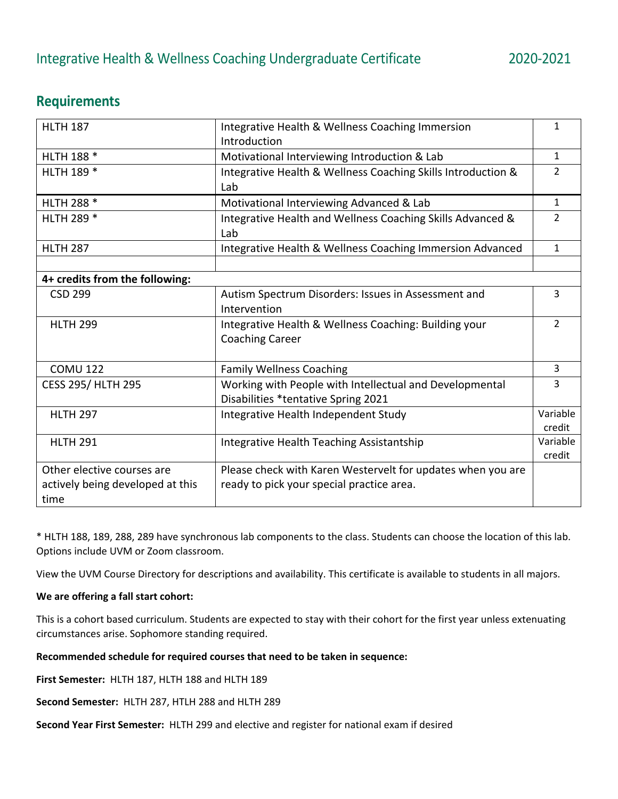# **Requirements**

| <b>HLTH 187</b>                                                        | Integrative Health & Wellness Coaching Immersion<br>Introduction                                         | 1                  |
|------------------------------------------------------------------------|----------------------------------------------------------------------------------------------------------|--------------------|
| HLTH 188 *                                                             | Motivational Interviewing Introduction & Lab                                                             | $\mathbf{1}$       |
| HLTH 189 *                                                             | Integrative Health & Wellness Coaching Skills Introduction &<br>Lab                                      | $\overline{2}$     |
| HLTH 288 *                                                             | Motivational Interviewing Advanced & Lab                                                                 | $\mathbf{1}$       |
| HLTH 289 *                                                             | Integrative Health and Wellness Coaching Skills Advanced &<br>Lab                                        | $\overline{2}$     |
| <b>HLTH 287</b>                                                        | Integrative Health & Wellness Coaching Immersion Advanced                                                | $\mathbf{1}$       |
| 4+ credits from the following:                                         |                                                                                                          |                    |
| <b>CSD 299</b>                                                         | Autism Spectrum Disorders: Issues in Assessment and<br>Intervention                                      | $\overline{3}$     |
| <b>HLTH 299</b>                                                        | Integrative Health & Wellness Coaching: Building your<br><b>Coaching Career</b>                          | $\overline{2}$     |
| <b>COMU 122</b>                                                        | <b>Family Wellness Coaching</b>                                                                          | 3                  |
| <b>CESS 295/ HLTH 295</b>                                              | Working with People with Intellectual and Developmental<br>Disabilities *tentative Spring 2021           | 3                  |
| <b>HLTH 297</b>                                                        | Integrative Health Independent Study                                                                     | Variable<br>credit |
| <b>HLTH 291</b>                                                        | Integrative Health Teaching Assistantship                                                                | Variable<br>credit |
| Other elective courses are<br>actively being developed at this<br>time | Please check with Karen Westervelt for updates when you are<br>ready to pick your special practice area. |                    |

\* HLTH 188, 189, 288, 289 have synchronous lab components to the class. Students can choose the location of this lab. Options include UVM or Zoom classroom.

View the UVM Course Directory for descriptions and availability. This certificate is available to students in all majors.

## **We are offering a fall start cohort:**

This is a cohort based curriculum. Students are expected to stay with their cohort for the first year unless extenuating circumstances arise. Sophomore standing required.

#### **Recommended schedule for required courses that need to be taken in sequence:**

**First Semester:** HLTH 187, HLTH 188 and HLTH 189

**Second Semester:** HLTH 287, HTLH 288 and HLTH 289

**Second Year First Semester:** HLTH 299 and elective and register for national exam if desired